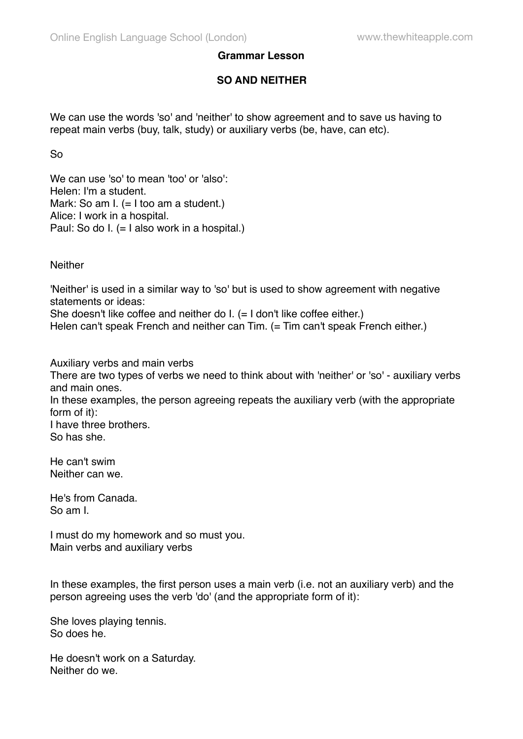## **Grammar Lesson**

## **SO AND NEITHER**

We can use the words 'so' and 'neither' to show agreement and to save us having to repeat main verbs (buy, talk, study) or auxiliary verbs (be, have, can etc).

So

We can use 'so' to mean 'too' or 'also': Helen: I'm a student. Mark: So am I. (= I too am a student.) Alice: I work in a hospital. Paul: So do I. (= I also work in a hospital.)

**Neither** 

'Neither' is used in a similar way to 'so' but is used to show agreement with negative statements or ideas:

She doesn't like coffee and neither do I. (= I don't like coffee either.)

Helen can't speak French and neither can Tim. (= Tim can't speak French either.)

Auxiliary verbs and main verbs

There are two types of verbs we need to think about with 'neither' or 'so' - auxiliary verbs and main ones.

In these examples, the person agreeing repeats the auxiliary verb (with the appropriate form of it):

I have three brothers. So has she.

He can't swim Neither can we.

He's from Canada. So am I.

I must do my homework and so must you. Main verbs and auxiliary verbs

In these examples, the first person uses a main verb (i.e. not an auxiliary verb) and the person agreeing uses the verb 'do' (and the appropriate form of it):

She loves playing tennis. So does he.

He doesn't work on a Saturday. Neither do we.